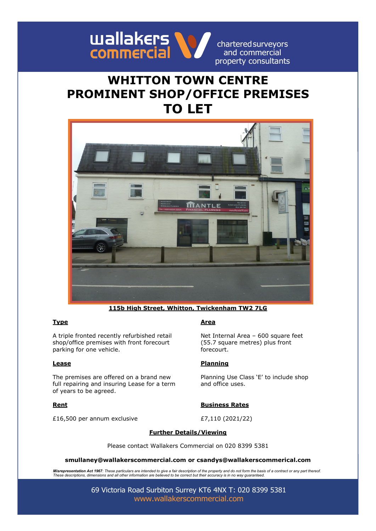

charteredsurveyors and commercial property consultants

# **WHITTON TOWN CENTRE PROMINENT SHOP/OFFICE PREMISES TO LET**



**115b High Street, Whitton, Twickenham TW2 7LG**

A triple fronted recently refurbished retail shop/office premises with front forecourt parking for one vehicle.

The premises are offered on a brand new full repairing and insuring Lease for a term of years to be agreed.

£16,500 per annum exclusive £7,110 (2021/22)

### **Type Area**

Net Internal Area – 600 square feet (55.7 square metres) plus front forecourt.

### **Lease Planning**

Planning Use Class 'E' to include shop and office uses.

### **Rent Business Rates**

### **Further Details/Viewing**

Please contact Wallakers Commercial on 020 8399 5381

**smullaney@wallakerscommercial.com or csandys@wallakerscommerical.com**

**Misrepresentation Act 1967**: These particulars are intended to give a fair description of the property and do not form the basis of a contract or any part thereof.<br>These descriptions, dimensions and all other information

69 Victoria Road Surbiton Surrey KT6 4NX T: 020 8399 5381 [www.wallakerscommercial.com](http://www.wallakerscommercial.com/)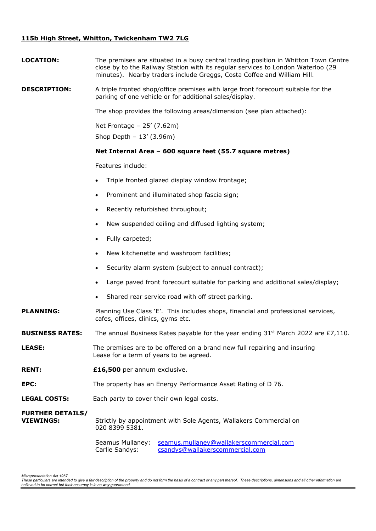## **115b High Street, Whitton, Twickenham TW2 7LG**

| <b>LOCATION:</b>                            | The premises are situated in a busy central trading position in Whitton Town Centre<br>close by to the Railway Station with its regular services to London Waterloo (29<br>minutes). Nearby traders include Greggs, Costa Coffee and William Hill. |
|---------------------------------------------|----------------------------------------------------------------------------------------------------------------------------------------------------------------------------------------------------------------------------------------------------|
| <b>DESCRIPTION:</b>                         | A triple fronted shop/office premises with large front forecourt suitable for the<br>parking of one vehicle or for additional sales/display.                                                                                                       |
|                                             | The shop provides the following areas/dimension (see plan attached):                                                                                                                                                                               |
|                                             | Net Frontage - 25' (7.62m)<br>Shop Depth $-13'$ (3.96m)                                                                                                                                                                                            |
|                                             | Net Internal Area - 600 square feet (55.7 square metres)                                                                                                                                                                                           |
|                                             | Features include:                                                                                                                                                                                                                                  |
|                                             | Triple fronted glazed display window frontage;                                                                                                                                                                                                     |
|                                             | Prominent and illuminated shop fascia sign;<br>$\bullet$                                                                                                                                                                                           |
|                                             | Recently refurbished throughout;<br>$\bullet$                                                                                                                                                                                                      |
|                                             | New suspended ceiling and diffused lighting system;<br>$\bullet$                                                                                                                                                                                   |
|                                             | Fully carpeted;                                                                                                                                                                                                                                    |
|                                             | New kitchenette and washroom facilities;<br>$\bullet$                                                                                                                                                                                              |
|                                             | Security alarm system (subject to annual contract);                                                                                                                                                                                                |
|                                             | Large paved front forecourt suitable for parking and additional sales/display;                                                                                                                                                                     |
|                                             | Shared rear service road with off street parking.<br>$\bullet$                                                                                                                                                                                     |
| <b>PLANNING:</b>                            | Planning Use Class 'E'. This includes shops, financial and professional services,<br>cafes, offices, clinics, gyms etc.                                                                                                                            |
| <b>BUSINESS RATES:</b>                      | The annual Business Rates payable for the year ending $31st$ March 2022 are £7,110.                                                                                                                                                                |
| <b>LEASE:</b>                               | The premises are to be offered on a brand new full repairing and insuring<br>Lease for a term of years to be agreed.                                                                                                                               |
| <b>RENT:</b>                                | £16,500 per annum exclusive.                                                                                                                                                                                                                       |
| EPC:                                        | The property has an Energy Performance Asset Rating of D 76.                                                                                                                                                                                       |
| <b>LEGAL COSTS:</b>                         | Each party to cover their own legal costs.                                                                                                                                                                                                         |
| <b>FURTHER DETAILS/</b><br><b>VIEWINGS:</b> | Strictly by appointment with Sole Agents, Wallakers Commercial on<br>020 8399 5381.                                                                                                                                                                |
|                                             | seamus.mullaney@wallakerscommercial.com<br>Seamus Mullaney:<br>csandys@wallakerscommercial.com<br>Carlie Sandys:                                                                                                                                   |

Misrepresentation Act 1967<br>These particulars are intended to give a fair description of the property and do not form the basis of a contract or any part thereof. These descriptions, dimensions and all other information are